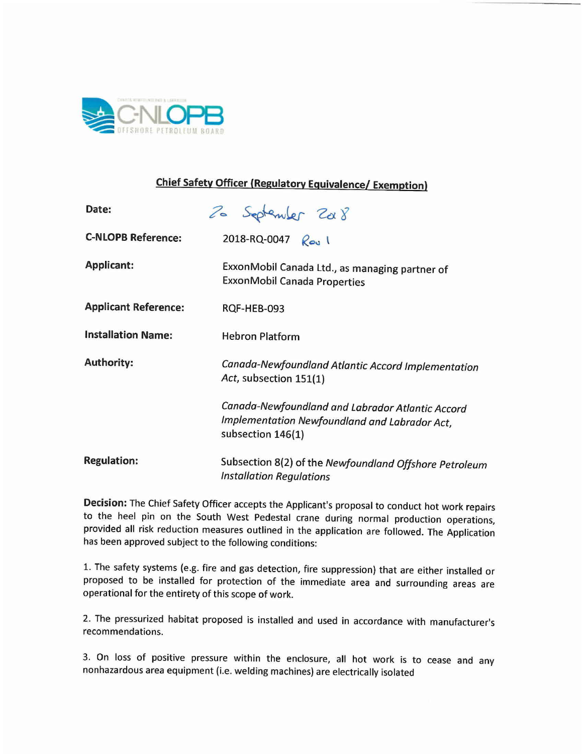

## **Chief Safety Officer (Regulatory Equivalence/ Exemption)**

| Date:                       | 20 September 2008                                                                                                      |
|-----------------------------|------------------------------------------------------------------------------------------------------------------------|
| <b>C-NLOPB Reference:</b>   | 2018-RQ-0047 $\ell_{\infty}$ \                                                                                         |
| <b>Applicant:</b>           | ExxonMobil Canada Ltd., as managing partner of<br><b>ExxonMobil Canada Properties</b>                                  |
| <b>Applicant Reference:</b> | RQF-HEB-093                                                                                                            |
| <b>Installation Name:</b>   | <b>Hebron Platform</b>                                                                                                 |
| <b>Authority:</b>           | Canada-Newfoundland Atlantic Accord Implementation<br>Act, subsection 151(1)                                           |
|                             | Canada-Newfoundland and Labrador Atlantic Accord<br>Implementation Newfoundland and Labrador Act,<br>subsection 146(1) |
| <b>Regulation:</b>          | Subsection 8(2) of the Newfoundland Offshore Petroleum<br><b>Installation Regulations</b>                              |

**Decision:** The Chief Safety Officer accepts the Applicant's proposal to conduct hot work repairs to the heel pin on the South West Pedestal crane during normal production operations, provided all risk reduction measures outlined in the application are followed. The Application has been approved subject to the following conditions:

1. The safety systems (e.g. fire and gas detection, fire suppression) that are either installed or proposed to be installed for protection of the immediate area and surrounding areas are operational for the entirety of this scope of work.

2. The pressurized habitat proposed is installed and used in accordance with manufacturer's recommendations.

3. On loss of positive pressure within the enclosure, all hot work is to cease and any nonhazardous area equipment (i.e. welding machines) are electrically isolated